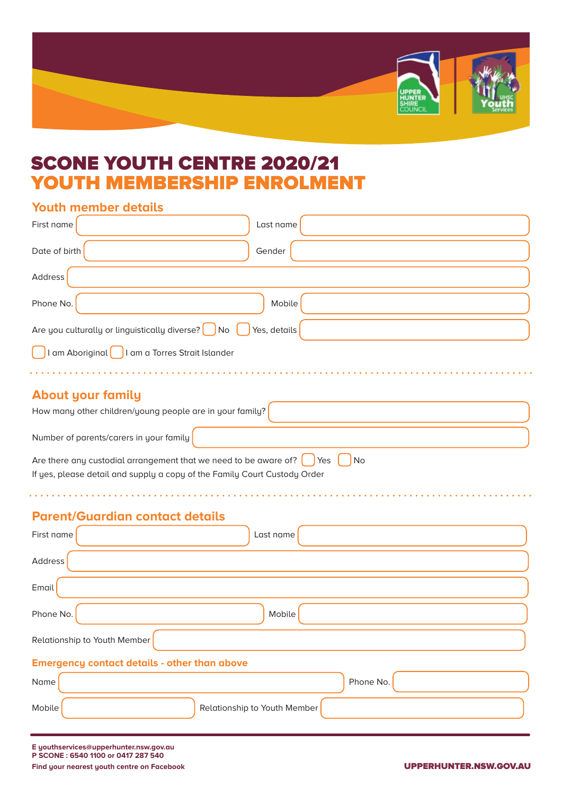

## SCONE YOUTH CENTRE 2020/21 YOUTH MEMBERSHIP ENROLMENT

a dia ara-dia ara-dia a

## **Youth member details**

| First name                                                                        | Last name |  |  |
|-----------------------------------------------------------------------------------|-----------|--|--|
| Date of birth                                                                     | Gender    |  |  |
| Address                                                                           |           |  |  |
| Phone No.                                                                         | Mobile    |  |  |
| Are you culturally or linguistically diverse? $\bigcap$ No $\bigcap$ Yes, details |           |  |  |
| I am Aboriginal<br>I am a Torres Strait Islander                                  |           |  |  |
|                                                                                   |           |  |  |

## **About your family**

| How many other children/young people are in your family?                                                                                                                                              |  |  |
|-------------------------------------------------------------------------------------------------------------------------------------------------------------------------------------------------------|--|--|
| Number of parents/carers in your family                                                                                                                                                               |  |  |
| Are there any custodial arrangement that we need to be aware of? $\begin{bmatrix} \cdot & \cdot \\ \cdot & \cdot \end{bmatrix}$ Yes $\begin{bmatrix} \cdot & \cdot \\ \cdot & \cdot \end{bmatrix}$ No |  |  |
| If yes, please detail and supply a copy of the Family Court Custody Order                                                                                                                             |  |  |

*<u>AAAAAAAAA</u>* 

## **Parent/Guardian contact details**

and a straight and a

| First name<br>Last name                             |
|-----------------------------------------------------|
| Address                                             |
| Email <sup>1</sup>                                  |
| Phone No.<br>Mobile                                 |
| Relationship to Youth Member                        |
| <b>Emergency contact details - other than above</b> |
| Name<br>Phone No.                                   |
| Mobile<br>Relationship to Youth Member              |